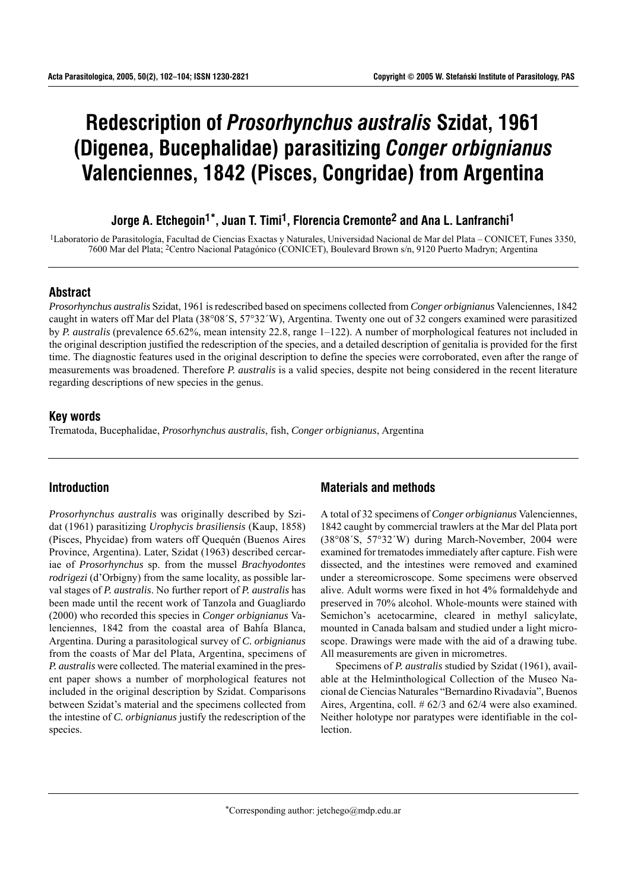# **Redescription of** *Prosorhynchus australis* **Szidat, 1961 (Digenea, Bucephalidae) parasitizing** *Conger orbignianus* **Valenciennes, 1842 (Pisces, Congridae) from Argentina**

# **Jorge A. Etchegoin1\*, Juan T. Timi1, Florencia Cremonte2 and Ana L. Lanfranchi1**

<sup>1</sup>Laboratorio de Parasitología, Facultad de Ciencias Exactas y Naturales, Universidad Nacional de Mar del Plata – CONICET, Funes 3350, 7600 Mar del Plata; <sup>2</sup>Centro Nacional Patagónico (CONICET), Boulevard Brown s/n, 9120 Puerto Madryn; Argentina

#### **Abstract**

*Prosorhynchus australis* Szidat, 1961 is redescribed based on specimens collected from *Conger orbignianus* Valenciennes, 1842 caught in waters off Mar del Plata (38°08¥S, 57°32¥W), Argentina. Twenty one out of 32 congers examined were parasitized by *P. australis* (prevalence 65.62%, mean intensity 22.8, range 1–122). A number of morphological features not included in the original description justified the redescription of the species, and a detailed description of genitalia is provided for the first time. The diagnostic features used in the original description to define the species were corroborated, even after the range of measurements was broadened. Therefore *P. australis* is a valid species, despite not being considered in the recent literature regarding descriptions of new species in the genus.

## **Key words**

Trematoda, Bucephalidae, *Prosorhynchus australis*, fish, *Conger orbignianus*, Argentina

# **Introduction**

*Prosorhynchus australis* was originally described by Szidat (1961) parasitizing *Urophycis brasiliensis* (Kaup, 1858) (Pisces, Phycidae) from waters off Quequén (Buenos Aires) Province, Argentina). Later, Szidat (1963) described cercariae of *Prosorhynchus* sp. from the mussel *Brachyodontes rodrigezi* (d'Orbigny) from the same locality, as possible larval stages of *P. australis*. No further report of *P. australis* has been made until the recent work of Tanzola and Guagliardo (2000) who recorded this species in *Conger orbignianus* Valenciennes, 1842 from the coastal area of Bahía Blanca, Argentina. During a parasitological survey of *C. orbignianus* from the coasts of Mar del Plata, Argentina, specimens of *P. australis* were collected. The material examined in the present paper shows a number of morphological features not included in the original description by Szidat. Comparisons between Szidat's material and the specimens collected from the intestine of *C. orbignianus* justify the redescription of the species.

# **Materials and methods**

A total of 32 specimens of *Conger orbignianus* Valenciennes, 1842 caught by commercial trawlers at the Mar del Plata port  $(38°08'S, 57°32'W)$  during March-November, 2004 were examined for trematodes immediately after capture. Fish were dissected, and the intestines were removed and examined under a stereomicroscope. Some specimens were observed alive. Adult worms were fixed in hot 4% formaldehyde and preserved in 70% alcohol. Whole-mounts were stained with Semichon's acetocarmine, cleared in methyl salicylate, mounted in Canada balsam and studied under a light microscope. Drawings were made with the aid of a drawing tube. All measurements are given in micrometres.

Specimens of *P. australis* studied by Szidat (1961), available at the Helminthological Collection of the Museo Nacional de Ciencias Naturales "Bernardino Rivadavia", Buenos Aires, Argentina, coll. # 62/3 and 62/4 were also examined. Neither holotype nor paratypes were identifiable in the collection.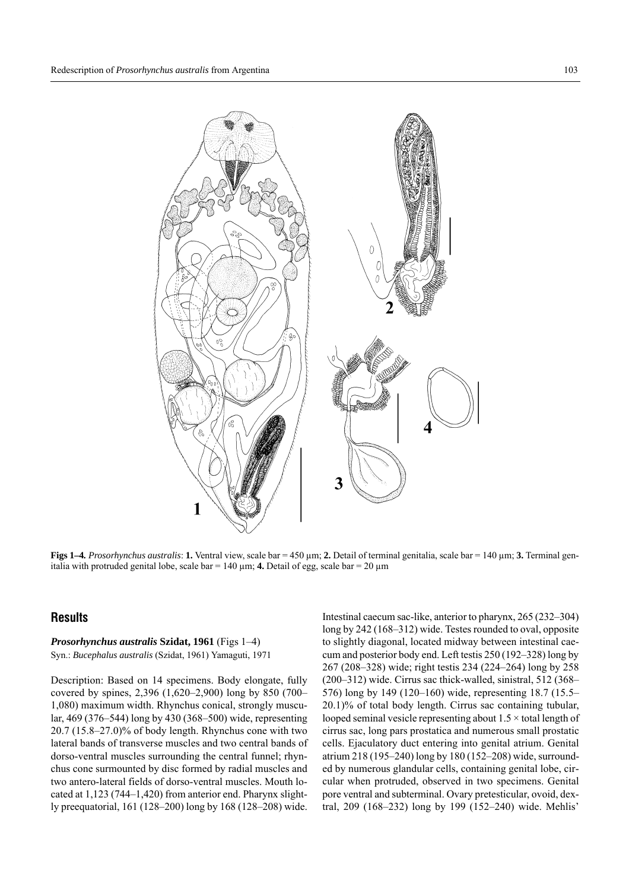

**Figs 1–4***. Prosorhynchus australis*: **1.** Ventral view, scale bar = 450 µm; **2.** Detail of terminal genitalia, scale bar = 140 µm; **3.** Terminal genitalia with protruded genital lobe, scale bar =  $140 \mu m$ ; **4.** Detail of egg, scale bar =  $20 \mu m$ 

# **Results**

#### *Prosorhynchus australis* **Szidat, 1961** (Figs 1-4) Syn.: *Bucephalus australis* (Szidat, 1961) Yamaguti, 1971

Description: Based on 14 specimens. Body elongate, fully covered by spines,  $2,396$  (1,620–2,900) long by 850 (700– 1,080) maximum width. Rhynchus conical, strongly muscular, 469 (376–544) long by 430 (368–500) wide, representing  $20.7$  (15.8–27.0)% of body length. Rhynchus cone with two lateral bands of transverse muscles and two central bands of dorso-ventral muscles surrounding the central funnel; rhynchus cone surmounted by disc formed by radial muscles and two antero-lateral fields of dorso-ventral muscles. Mouth located at  $1,123$  (744–1,420) from anterior end. Pharynx slightly preequatorial, 161 (128–200) long by 168 (128–208) wide.

Intestinal caecum sac-like, anterior to pharynx, 265 (232–304) long by  $242$  (168–312) wide. Testes rounded to oval, opposite to slightly diagonal, located midway between intestinal caecum and posterior body end. Left testis  $250(192-328)$  long by 267 (208–328) wide; right testis 234 (224–264) long by 258  $(200-312)$  wide. Cirrus sac thick-walled, sinistral, 512 (368– 576) long by 149 (120–160) wide, representing  $18.7$  (15.5– 20.1)% of total body length. Cirrus sac containing tubular, looped seminal vesicle representing about  $1.5 \times$  total length of cirrus sac, long pars prostatica and numerous small prostatic cells. Ejaculatory duct entering into genital atrium. Genital atrium 218 (195–240) long by 180 (152–208) wide, surrounded by numerous glandular cells, containing genital lobe, circular when protruded, observed in two specimens. Genital pore ventral and subterminal. Ovary pretesticular, ovoid, dextral, 209 (168–232) long by 199 (152–240) wide. Mehlis'